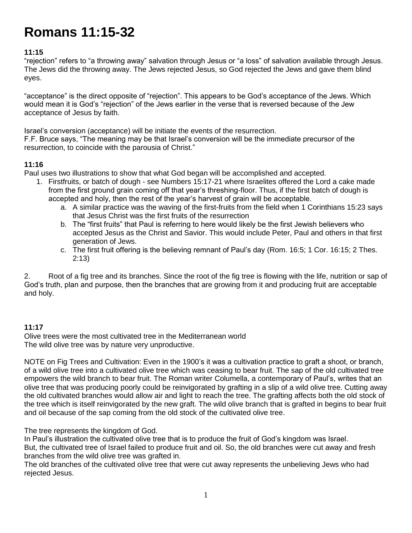# **Romans 11:15-32**

## **11:15**

"rejection" refers to "a throwing away" salvation through Jesus or "a loss" of salvation available through Jesus. The Jews did the throwing away. The Jews rejected Jesus, so God rejected the Jews and gave them blind eyes.

"acceptance" is the direct opposite of "rejection". This appears to be God's acceptance of the Jews. Which would mean it is God's "rejection" of the Jews earlier in the verse that is reversed because of the Jew acceptance of Jesus by faith.

Israel's conversion (acceptance) will be initiate the events of the resurrection.

F.F. Bruce says, "The meaning may be that Israel's conversion will be the immediate precursor of the resurrection, to coincide with the parousia of Christ."

#### **11:16**

Paul uses two illustrations to show that what God began will be accomplished and accepted.

- 1. Firstfruits, or batch of dough see Numbers 15:17-21 where Israelites offered the Lord a cake made from the first ground grain coming off that year's threshing-floor. Thus, if the first batch of dough is accepted and holy, then the rest of the year's harvest of grain will be acceptable.
	- a. A similar practice was the waving of the first-fruits from the field when 1 Corinthians 15:23 says that Jesus Christ was the first fruits of the resurrection
	- b. The "first fruits" that Paul is referring to here would likely be the first Jewish believers who accepted Jesus as the Christ and Savior. This would include Peter, Paul and others in that first generation of Jews.
	- c. The first fruit offering is the believing remnant of Paul's day (Rom. 16:5; 1 Cor. 16:15; 2 Thes. 2:13)

2. Root of a fig tree and its branches. Since the root of the fig tree is flowing with the life, nutrition or sap of God's truth, plan and purpose, then the branches that are growing from it and producing fruit are acceptable and holy.

#### **11:17**

Olive trees were the most cultivated tree in the Mediterranean world The wild olive tree was by nature very unproductive.

NOTE on Fig Trees and Cultivation: Even in the 1900's it was a cultivation practice to graft a shoot, or branch, of a wild olive tree into a cultivated olive tree which was ceasing to bear fruit. The sap of the old cultivated tree empowers the wild branch to bear fruit. The Roman writer Columella, a contemporary of Paul's, writes that an olive tree that was producing poorly could be reinvigorated by grafting in a slip of a wild olive tree. Cutting away the old cultivated branches would allow air and light to reach the tree. The grafting affects both the old stock of the tree which is itself reinvigorated by the new graft. The wild olive branch that is grafted in begins to bear fruit and oil because of the sap coming from the old stock of the cultivated olive tree.

The tree represents the kingdom of God.

In Paul's illustration the cultivated olive tree that is to produce the fruit of God's kingdom was Israel. But, the cultivated tree of Israel failed to produce fruit and oil. So, the old branches were cut away and fresh branches from the wild olive tree was grafted in.

The old branches of the cultivated olive tree that were cut away represents the unbelieving Jews who had rejected Jesus.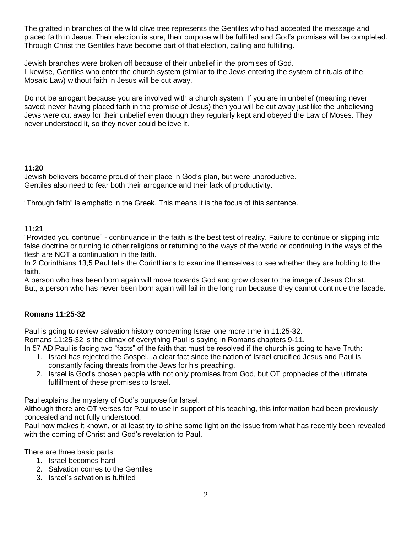The grafted in branches of the wild olive tree represents the Gentiles who had accepted the message and placed faith in Jesus. Their election is sure, their purpose will be fulfilled and God's promises will be completed. Through Christ the Gentiles have become part of that election, calling and fulfilling.

Jewish branches were broken off because of their unbelief in the promises of God. Likewise, Gentiles who enter the church system (similar to the Jews entering the system of rituals of the Mosaic Law) without faith in Jesus will be cut away.

Do not be arrogant because you are involved with a church system. If you are in unbelief (meaning never saved; never having placed faith in the promise of Jesus) then you will be cut away just like the unbelieving Jews were cut away for their unbelief even though they regularly kept and obeyed the Law of Moses. They never understood it, so they never could believe it.

## **11:20**

Jewish believers became proud of their place in God's plan, but were unproductive. Gentiles also need to fear both their arrogance and their lack of productivity.

"Through faith" is emphatic in the Greek. This means it is the focus of this sentence.

#### **11:21**

"Provided you continue" - continuance in the faith is the best test of reality. Failure to continue or slipping into false doctrine or turning to other religions or returning to the ways of the world or continuing in the ways of the flesh are NOT a continuation in the faith.

In 2 Corinthians 13;5 Paul tells the Corinthians to examine themselves to see whether they are holding to the faith.

A person who has been born again will move towards God and grow closer to the image of Jesus Christ. But, a person who has never been born again will fail in the long run because they cannot continue the facade.

#### **Romans 11:25-32**

Paul is going to review salvation history concerning Israel one more time in 11:25-32. Romans 11:25-32 is the climax of everything Paul is saying in Romans chapters 9-11. In 57 AD Paul is facing two "facts" of the faith that must be resolved if the church is going to have Truth:

- 1. Israel has rejected the Gospel...a clear fact since the nation of Israel crucified Jesus and Paul is constantly facing threats from the Jews for his preaching.
- 2. Israel is God's chosen people with not only promises from God, but OT prophecies of the ultimate fulfillment of these promises to Israel.

Paul explains the mystery of God's purpose for Israel.

Although there are OT verses for Paul to use in support of his teaching, this information had been previously concealed and not fully understood.

Paul now makes it known, or at least try to shine some light on the issue from what has recently been revealed with the coming of Christ and God's revelation to Paul.

There are three basic parts:

- 1. Israel becomes hard
- 2. Salvation comes to the Gentiles
- 3. Israel's salvation is fulfilled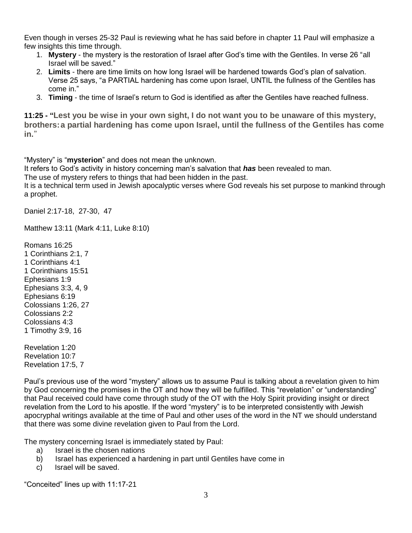Even though in verses 25-32 Paul is reviewing what he has said before in chapter 11 Paul will emphasize a few insights this time through.

- 1. **Mystery** the mystery is the restoration of Israel after God's time with the Gentiles. In verse 26 "all Israel will be saved."
- 2. **Limits** there are time limits on how long Israel will be hardened towards God's plan of salvation. Verse 25 says, "a PARTIAL hardening has come upon Israel, UNTIL the fullness of the Gentiles has come in."
- 3. **Timing** the time of Israel's return to God is identified as after the Gentiles have reached fullness.

**11:25 - "Lest you be wise in your own sight, I do not want you to be unaware of this mystery, brothers:a partial hardening has come upon Israel, until the fullness of the Gentiles has come in.**"

"Mystery" is "**mysterion**" and does not mean the unknown.

It refers to God's activity in history concerning man's salvation that *has* been revealed to man.

The use of mystery refers to things that had been hidden in the past.

It is a technical term used in Jewish apocalyptic verses where God reveals his set purpose to mankind through a prophet.

Daniel 2:17-18, 27-30, 47

Matthew 13:11 (Mark 4:11, Luke 8:10)

Romans 16:25 1 Corinthians 2:1, 7 1 Corinthians 4:1 1 Corinthians 15:51 Ephesians 1:9 Ephesians 3:3, 4, 9 Ephesians 6:19 Colossians 1:26, 27 Colossians 2:2 Colossians 4:3 1 Timothy 3:9, 16

Revelation 1:20 Revelation 10:7 Revelation 17:5, 7

Paul's previous use of the word "mystery" allows us to assume Paul is talking about a revelation given to him by God concerning the promises in the OT and how they will be fulfilled. This "revelation" or "understanding" that Paul received could have come through study of the OT with the Holy Spirit providing insight or direct revelation from the Lord to his apostle. If the word "mystery" is to be interpreted consistently with Jewish apocryphal writings available at the time of Paul and other uses of the word in the NT we should understand that there was some divine revelation given to Paul from the Lord.

The mystery concerning Israel is immediately stated by Paul:

- a) Israel is the chosen nations
- b) Israel has experienced a hardening in part until Gentiles have come in
- c) Israel will be saved.

"Conceited" lines up with 11:17-21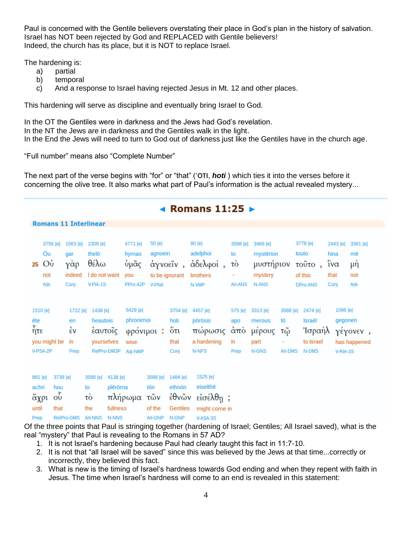Paul is concerned with the Gentile believers overstating their place in God's plan in the history of salvation. Israel has NOT been rejected by God and REPLACED with Gentile believers! Indeed, the church has its place, but it is NOT to replace Israel.

The hardening is:

- a) partial
- b) temporal
- c) And a response to Israel having rejected Jesus in Mt. 12 and other places.

This hardening will serve as discipline and eventually bring Israel to God.

In the OT the Gentiles were in darkness and the Jews had God's revelation. In the NT the Jews are in darkness and the Gentiles walk in the light. In the End the Jews will need to turn to God out of darkness just like the Gentiles have in the church age.

"Full number" means also "Complete Number"

The next part of the verse begins with "for" or "that" ('οτι, *hoti* ) which ties it into the verses before it concerning the olive tree. It also marks what part of Paul's information is the actual revealed mystery...

| ◀ Romans $11:25$ $\blacktriangleright$ |                                             |                                                                 |                                                                   |                                          |                                                                   |                                             |                                                         |                                                                         |                                     |                                                        |                                 |                                                           |                                                            |                                    |
|----------------------------------------|---------------------------------------------|-----------------------------------------------------------------|-------------------------------------------------------------------|------------------------------------------|-------------------------------------------------------------------|---------------------------------------------|---------------------------------------------------------|-------------------------------------------------------------------------|-------------------------------------|--------------------------------------------------------|---------------------------------|-----------------------------------------------------------|------------------------------------------------------------|------------------------------------|
| <b>Romans 11 Interlinear</b>           |                                             |                                                                 |                                                                   |                                          |                                                                   |                                             |                                                         |                                                                         |                                     |                                                        |                                 |                                                           |                                                            |                                    |
| 25                                     | 3756 [e]<br>Ou<br>Ου<br>not<br>Adv          | 1063 [e]<br>qar<br>$\gamma \dot{\alpha} \rho$<br>indeed<br>Conj | 2309 [e]<br>thelō<br>$\theta \epsilon \lambda \omega$<br>V-PIA-1S | I do not want                            | 4771 [e]<br>hymas<br>ὑμᾶς<br>you<br>PPro-A2P                      | 50 [e]<br>agnoein<br><b>V-PNA</b>           | to be ignorant                                          | 80 [e]<br>adelphoi<br>άγνοεΐν, άδελφοί,<br>brothers<br>N-VMP            | 3588 [e]<br>to<br>τò<br>Art-ANS     | 3466 [e]<br>mystērion<br>μυστήριον<br>mystery<br>N-ANS |                                 | 3778 [e]<br>touto<br>τοῦτο,<br>of this<br><b>DPro-ANS</b> | 2443 [e]<br>hina<br>$\tilde{i} \nu \alpha$<br>that<br>Conj | 3361 [e]<br>mē<br>μή<br>not<br>Adv |
| ēte<br>ήτε                             | 1510 [e]<br>you might be<br>V-PSA-2P        | 1722 [e]<br>en<br>έv<br>in<br>Prep                              | 1438 [e]<br>heautois                                              | έαυτοΐς<br>yourselves                    | 5429 [e]<br>phronimoi<br>φρόνιμοι:<br>wise<br>RefPro-DM3P Adj-NMP |                                             | 3754 [e]<br>hoti<br>őτι<br>that<br>Conj                 | 4457 [e]<br>pōrōsis<br>πώρωσις<br>a hardening<br>N-NFS                  | 575 [e]<br>apo<br>άπὸ<br>in<br>Prep | 3313 [e]<br>merous<br>μέρους<br>part<br>N-GNS          | 3588 [e]<br>tō<br>τῷ<br>Art-DMS | 2474 [e]<br>Israēl<br>Ίσραὴλ<br>to Israel<br>N-DMS        | 1096 [e]<br>gegonen<br>V-RIA-3S                            | γέγονεν,<br>has happened           |
| 891 [e]<br>achri<br>until<br>Prep      | hou<br>$\tilde{\mathrm{O}}$<br>άχρι<br>that | 3739 [e]<br>RelPro-GMS Art-NNS                                  | 3588 [e]<br>to<br>τò<br>the                                       | 4138 [e]<br>plērōma<br>fullness<br>N-NNS | πλήρωμα                                                           | 3588 [e]<br>tōn<br>τῶν<br>of the<br>Art-GNP | 1484 [e]<br>ethnōn<br>ἐθνῶν<br><b>Gentiles</b><br>N-GNP | 1525 [e]<br>eiselthē<br>$\epsilon$ ίσέλθη;<br>might come in<br>V-ASA-3S |                                     |                                                        |                                 |                                                           |                                                            |                                    |

Of the three points that Paul is stringing together (hardening of Israel; Gentiles; All Israel saved), what is the real "mystery" that Paul is revealing to the Romans in 57 AD?

- 1. It is not Israel's hardening because Paul had clearly taught this fact in 11:7-10.
- 2. It is not that "all Israel will be saved" since this was believed by the Jews at that time...correctly or incorrectly, they believed this fact.
- 3. What is new is the timing of Israel's hardness towards God ending and when they repent with faith in Jesus. The time when Israel's hardness will come to an end is revealed in this statement: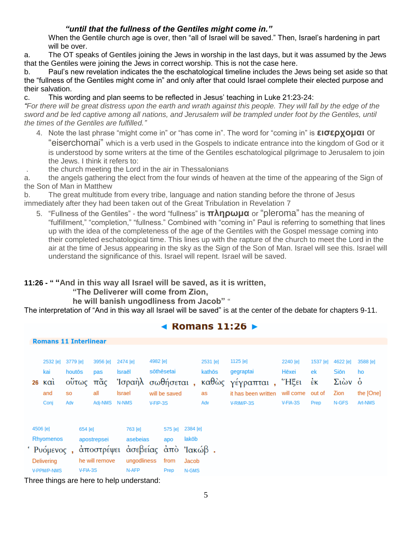# *"until that the fullness of the Gentiles might come in."*

When the Gentile church age is over, then "all of Israel will be saved." Then, Israel's hardening in part will be over.

a. The OT speaks of Gentiles joining the Jews in worship in the last days, but it was assumed by the Jews that the Gentiles were joining the Jews in correct worship. This is not the case here.

b. Paul's new revelation indicates the the eschatological timeline includes the Jews being set aside so that the "fullness of the Gentiles might come in" and only after that could Israel complete their elected purpose and their salvation.

c. This wording and plan seems to be reflected in Jesus' teaching in Luke 21:23-24:

*"For there will be great distress upon the earth and wrath against this people. They will fall by the edge of the sword and be led captive among all nations, and Jerusalem will be trampled under foot by the Gentiles, until the times of the Gentiles are fulfilled."*

4. Note the last phrase "might come in" or "has come in". The word for "coming in" is **εισερχομαι** or "eiserchomai" which is a verb used in the Gospels to indicate entrance into the kingdom of God or it is understood by some writers at the time of the Gentiles eschatological pilgrimage to Jerusalem to join the Jews. I think it refers to:

. the church meeting the Lord in the air in Thessalonians

a. the angels gathering the elect from the four winds of heaven at the time of the appearing of the Sign of the Son of Man in Matthew

b. The great multitude from every tribe, language and nation standing before the throne of Jesus immediately after they had been taken out of the Great Tribulation in Revelation 7

5. "Fullness of the Gentiles" - the word "fullness" is **πληρωμα** or "pleroma" has the meaning of "fulfillment," "completion," "fullness." Combined with "coming in" Paul is referring to something that lines up with the idea of the completeness of the age of the Gentiles with the Gospel message coming into their completed eschatological time. This lines up with the rapture of the church to meet the Lord in the air at the time of Jesus appearing in the sky as the Sign of the Son of Man. Israel will see this. Israel will understand the significance of this. Israel will repent. Israel will be saved.

# **11:26 - " "And in this way all Israel will be saved, as it is written,**

## **"The Deliverer will come from Zion,**

**he will banish ungodliness from Jacob"** "

The interpretation of "And in this way all Israel will be saved" is at the center of the debate for chapters 9-11.

|                              | $\blacktriangleleft$ Romans 11:26 $\blacktriangleright$                  |                                                      |                                             |                                                     |                                                                          |                                     |                                 |                                                                                |                                                     |                                        |                                                            |                                        |  |
|------------------------------|--------------------------------------------------------------------------|------------------------------------------------------|---------------------------------------------|-----------------------------------------------------|--------------------------------------------------------------------------|-------------------------------------|---------------------------------|--------------------------------------------------------------------------------|-----------------------------------------------------|----------------------------------------|------------------------------------------------------------|----------------------------------------|--|
| <b>Romans 11 Interlinear</b> |                                                                          |                                                      |                                             |                                                     |                                                                          |                                     |                                 |                                                                                |                                                     |                                        |                                                            |                                        |  |
|                              | 2532 [e]<br>kai<br>$k\alpha i$<br>26<br>and<br>Conj                      | 3779 [e]<br>houtos<br>ούτως<br>S <sub>0</sub><br>Adv | 3956 [e]<br>pas<br>πᾶς<br>all<br>Adj-NMS    | 2474 [e]<br><b>Israël</b><br><b>Israel</b><br>N-NMS | 4982 [e]<br>sõthēsetai<br>Ίσραὴλ σωθήσεται,<br>will be saved<br>V-FIP-3S |                                     | 2531 [e]<br>kathōs<br>as<br>Adv | 1125 [e]<br>gegraptai<br>καθώς γέγραπται,<br>it has been written<br>V-RIM/P-3S | 2240 [e]<br>Hēxei<br>"Ηξει<br>will come<br>V-FIA-3S | 1537 [e]<br>ek<br>έĸ<br>out of<br>Prep | 4622 [e]<br><b>Sion</b><br>$\Sigma$ ιών ο<br>Zion<br>N-GFS | 3588 [e]<br>ho<br>the [One]<br>Art-NMS |  |
|                              | 4506 [e]<br>Rhyomenos<br>' Ρυόμενος,<br>Delivering<br><b>V-PPM/P-NMS</b> | 654 [e]<br>V-FIA-3S                                  | apostrepsei<br>αποστρέψει<br>he will remove | 763 [e]<br>asebeias<br>ungodliness<br>N-AFP         | 575 [e]<br>apo<br>άσεβείας άπο Ίακώβ.<br>from<br>Prep                    | 2384 [e]<br>lakōb<br>Jacob<br>N-GMS |                                 |                                                                                |                                                     |                                        |                                                            |                                        |  |

Three things are here to help understand: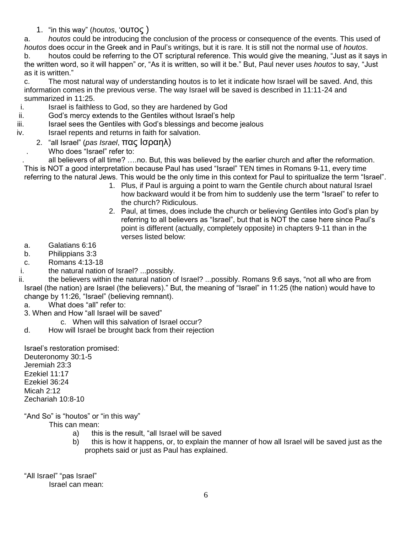1. "in this way" (*houtos*, 'ουτος )

a. *houtos* could be introducing the conclusion of the process or consequence of the events. This used of *houtos* does occur in the Greek and in Paul's writings, but it is rare. It is still not the normal use of *houtos*. b. houtos could be referring to the OT scriptural reference. This would give the meaning, "Just as it says in the written word, so it will happen" or, "As it is written, so will it be." But, Paul never uses *houtos* to say, "Just as it is written."

c. The most natural way of understanding houtos is to let it indicate how Israel will be saved. And, this information comes in the previous verse. The way Israel will be saved is described in 11:11-24 and summarized in 11:25.

- i. Israel is faithless to God, so they are hardened by God
- ii. God's mercy extends to the Gentiles without Israel's help
- iii. Israel sees the Gentiles with God's blessings and become jealous
- iv. Israel repents and returns in faith for salvation.
	- 2. "all Israel" (*pas Israel*, πας Ισραηλ)
		- . Who does "Israel" refer to:

. all believers of all time? ….no. But, this was believed by the earlier church and after the reformation. This is NOT a good interpretation because Paul has used "Israel" TEN times in Romans 9-11, every time referring to the natural Jews. This would be the only time in this context for Paul to spiritualize the term "Israel".

- 1. Plus, if Paul is arguing a point to warn the Gentile church about natural Israel how backward would it be from him to suddenly use the term "Israel" to refer to the church? Ridiculous.
- 2. Paul, at times, does include the church or believing Gentiles into God's plan by referring to all believers as "Israel", but that is NOT the case here since Paul's point is different (actually, completely opposite) in chapters 9-11 than in the verses listed below:
- a. Galatians 6:16
- b. Philippians 3:3
- c. Romans 4:13-18
- i. the natural nation of Israel? ...possibly.

ii. the believers within the natural nation of Israel? ...possibly. Romans 9:6 says, "not all who are from Israel (the nation) are Israel (the believers)." But, the meaning of "Israel" in 11:25 (the nation) would have to change by 11:26, "Israel" (believing remnant).

- a. What does "all" refer to:
- 3. When and How "all Israel will be saved"
	- c. When will this salvation of Israel occur?
- d. How will Israel be brought back from their rejection

Israel's restoration promised: Deuteronomy 30:1-5 Jeremiah 23:3 Ezekiel 11:17 Ezekiel 36:24 Micah 2:12 Zechariah 10:8-10

"And So" is "houtos" or "in this way"

This can mean:

- a) this is the result, "all Israel will be saved
- b) this is how it happens, or, to explain the manner of how all Israel will be saved just as the prophets said or just as Paul has explained.

"All Israel" "pas Israel"

Israel can mean: